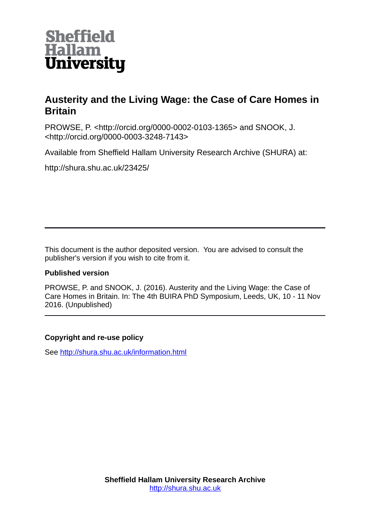

# **Austerity and the Living Wage: the Case of Care Homes in Britain**

PROWSE, P. <http://orcid.org/0000-0002-0103-1365> and SNOOK, J. <http://orcid.org/0000-0003-3248-7143>

Available from Sheffield Hallam University Research Archive (SHURA) at:

http://shura.shu.ac.uk/23425/

This document is the author deposited version. You are advised to consult the publisher's version if you wish to cite from it.

# **Published version**

PROWSE, P. and SNOOK, J. (2016). Austerity and the Living Wage: the Case of Care Homes in Britain. In: The 4th BUIRA PhD Symposium, Leeds, UK, 10 - 11 Nov 2016. (Unpublished)

# **Copyright and re-use policy**

See<http://shura.shu.ac.uk/information.html>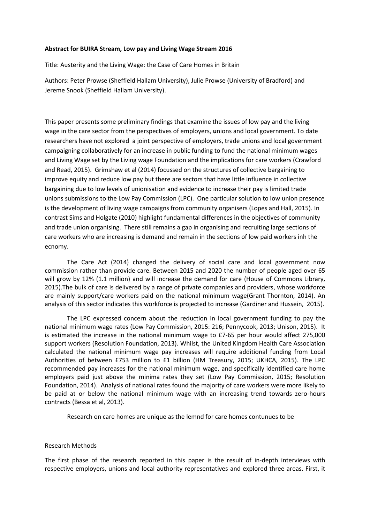## **Abstract for BUIRA Stream, Low pay and Living Wage Stream 2016**

Title: Austerity and the Living Wage: the Case of Care Homes in Britain

Authors: Peter Prowse (Sheffield Hallam University), Julie Prowse (University of Bradford) and Jereme Snook (Sheffield Hallam University).

This paper presents some preliminary findings that examine the issues of low pay and the living wage in the care sector from the perspectives of employers, **u**nions and local government. To date researchers have not explored a joint perspective of employers, trade unions and local government campaigning collaboratively for an increase in public funding to fund the national minimum wages and Living Wage set by the Living wage Foundation and the implications for care workers (Crawford and Read, 2015). Grimshaw et al (2014) focussed on the structures of collective bargaining to improve equity and reduce low pay but there are sectors that have little influence in collective bargaining due to low levels of unionisation and evidence to increase their pay is limited trade unions submissions to the Low Pay Commission (LPC). One particular solution to low union presence is the development of living wage campaigns from community organisers (Lopes and Hall, 2015). In contrast Sims and Holgate (2010) highlight fundamental differences in the objectives of community and trade union organising. There still remains a gap in organising and recruiting large sections of care workers who are increasing is demand and remain in the sections of low paid workers inh the ecnomy.

The Care Act (2014) changed the delivery of social care and local government now commission rather than provide care. Between 2015 and 2020 the number of people aged over 65 will grow by 12% (1.1 million) and will increase the demand for care (House of Commons Library, 2015).The bulk of care is delivered by a range of private companies and providers, whose workforce are mainly support/care workers paid on the national minimum wage(Grant Thornton, 2014). An analysis of this sector indicates this workforce is projected to increase (Gardiner and Hussein, 2015).

The LPC expressed concern about the reduction in local government funding to pay the national minimum wage rates (Low Pay Commission, 2015: 216; Pennycook, 2013; Unison, 2015). It is estimated the increase in the national minimum wage to £7-65 per hour would affect 275,000 support workers (Resolution Foundation, 2013). Whilst, the United Kingdom Health Care Association calculated the national minimum wage pay increases will require additional funding from Local Authorities of between £753 million to £1 billion (HM Treasury, 2015; UKHCA, 2015). The LPC recommended pay increases for the national minimum wage, and specifically identified care home employers paid just above the minima rates they set (Low Pay Commission, 2015; Resolution Foundation, 2014). Analysis of national rates found the majority of care workers were more likely to be paid at or below the national minimum wage with an increasing trend towards zero-hours contracts (Bessa et al, 2013).

Research on care homes are unique as the lemnd for care homes contunues to be

### Research Methods

The first phase of the research reported in this paper is the result of in-depth interviews with respective employers, unions and local authority representatives and explored three areas. First, it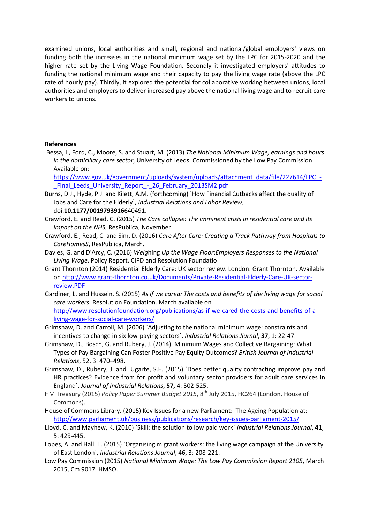examined unions, local authorities and small, regional and national/global employers' views on funding both the increases in the national minimum wage set by the LPC for 2015-2020 and the higher rate set by the Living Wage Foundation. Secondly it investigated employers' attitudes to funding the national minimum wage and their capacity to pay the living wage rate (above the LPC rate of hourly pay). Thirdly, it explored the potential for collaborative working between unions, local authorities and employers to deliver increased pay above the national living wage and to recruit care workers to unions.

### **References**

Bessa, I., Ford, C., Moore, S. and Stuart, M. (2013) *The National Minimum Wage, earnings and hours in the domiciliary care sector*, University of Leeds. Commissioned by the Low Pay Commission Available on:

[https://www.gov.uk/government/uploads/system/uploads/attachment\\_data/file/227614/LPC\\_-](https://www.gov.uk/government/uploads/system/uploads/attachment_data/file/227614/LPC_-_Final_Leeds_University_Report_-_26_February_2013SM2.pdf) Final Leeds University Report - 26 February 2013SM2.pdf

- Burns, D.J., Hyde, P.J. and Kilett, A.M. (forthcoming) `How Financial Cutbacks affect the quality of Jobs and Care for the Elderly`, *Industrial Relations and Labor Review*, doi.**10.1177/0019793916**640491.
- Crawford, E. and Read, C. (2015) *The Care collapse: The imminent crisis in residential care and its impact on the NHS*, ResPublica, November.
- Crawford, E., Read, C. and Sim, D. (2016) *Care After Cure: Creating a Track Pathway from Hospitals to CareHomesS*, ResPublica, March.
- Davies, G. and D'Arcy, C. (2016) *Weig*hing *Up the Wage Floor*:*Employers Responses to the National Living Wage*, Policy Report, CIPD and Resolution Foundatio
- Grant Thornton (2014) Residential Elderly Care: UK sector review. London: Grant Thornton. Available on [http://www.grant-thornton.co.uk/Documents/Private-Residential-Elderly-Care-UK-sector](http://www.grant-thornton.co.uk/Documents/Private-Residential-Elderly-Care-UK-sector-review.PDF)[review.PDF](http://www.grant-thornton.co.uk/Documents/Private-Residential-Elderly-Care-UK-sector-review.PDF)
- Gardiner, L. and Hussein, S. (2015) *As if we cared: The costs and benefits of the living wage for social care workers*, Resolution Foundation. March available on [http://www.resolutionfoundation.org/publications/as-if-we-cared-the-costs-and-benefits-of-a](http://www.resolutionfoundation.org/publications/as-if-we-cared-the-costs-and-benefits-of-a-living-wage-for-social-care-workers/)[living-wage-for-social-care-workers/](http://www.resolutionfoundation.org/publications/as-if-we-cared-the-costs-and-benefits-of-a-living-wage-for-social-care-workers/)
- Grimshaw, D. and Carroll, M. (2006) `Adjusting to the national minimum wage: constraints and incentives to change in six low-paying sectors`, *Industrial Relations Jiurnal*, **37**, 1: 22-47.
- Grimshaw, D., Bosch, G. and Rubery, J. (2014), Minimum Wages and Collective Bargaining: What Types of Pay Bargaining Can Foster Positive Pay Equity Outcomes? *British Journal of Industrial Relations*, 52, 3: 470–498.
- Grimshaw, D., Rubery, J. and Ugarte, S.E. (2015) `Does better quality contracting improve pay and HR practices? Evidence from for profit and voluntary sector providers for adult care services in England`, *Journal of Industrial Relations*, **57,** 4: 502-525**.**
- HM Treasury (2015) *Policy Paper Summer Budget 2015*, 8th July 2015, HC264 (London, House of Commons).
- House of Commons Library. (2015) Key Issues for a new Parliament: The Ageing Population at: <http://www.parliament.uk/business/publications/research/key-issues-parliament-2015/>
- Lloyd, C. and Mayhew, K. (2010) `Skill: the solution to low paid work` *Industrial Relations Journal*, **41**, 5: 429-445.
- Lopes, A. and Hall, T. (2015) `Organising migrant workers: the living wage campaign at the University of East London`, *Industrial Relations Journal*, 46, 3: 208-221.
- Low Pay Commission (2015) *National Minimum Wage: The Low Pay Commission Report 2105*, March 2015, Cm 9017, HMSO.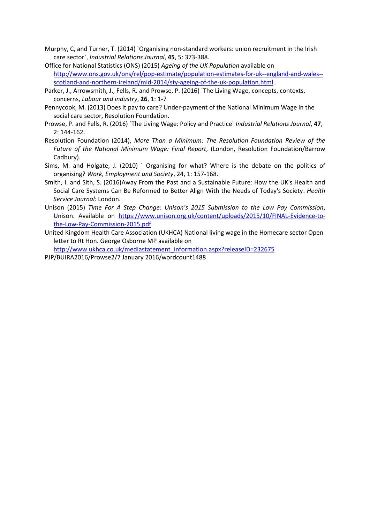- Murphy, C, and Turner, T. (2014) `Organising non-standard workers: union recruitment in the Irish care sector`, *Industrial Relations Journal*, **45**, 5: 373-388.
- Office for National Statistics (ONS) (2015) *Ageing of the UK Population* available on [http://www.ons.gov.uk/ons/rel/pop-estimate/population-estimates-for-uk--england-and-wales-](http://www.ons.gov.uk/ons/rel/pop-estimate/population-estimates-for-uk--england-and-wales--scotland-and-northern-ireland/mid-2014/sty-ageing-of-the-uk-population.html) [scotland-and-northern-ireland/mid-2014/sty-ageing-of-the-uk-population.html](http://www.ons.gov.uk/ons/rel/pop-estimate/population-estimates-for-uk--england-and-wales--scotland-and-northern-ireland/mid-2014/sty-ageing-of-the-uk-population.html) .
- Parker, J., Arrowsmith, J., Fells, R. and Prowse, P. (2016) `The Living Wage, concepts, contexts, concerns, *Labour and industry*, **26**, 1: 1-7
- Pennycook, M. (2013) Does it pay to care? Under-payment of the National Minimum Wage in the social care sector, Resolution Foundation.
- Prowse, P. and Fells, R. (2016) `The Living Wage: Policy and Practice` *Industrial Relations Journal*, **47**, 2: 144-162.
- Resolution Foundation (2014), *More Than a Minimum: The Resolution Foundation Review of the Future of the National Minimum Wage: Final Report*, (London, Resolution Foundation/Barrow Cadbury).
- Sims, M. and Holgate, J. (2010) ` Organising for what? Where is the debate on the politics of organising? *Work, Employment and Society*, 24, 1: 157-168.
- Smith, I. and Sith, S. (2016)Away From the Past and a Sustainable Future: How the UK's Health and Social Care Systems Can Be Reformed to Better Align With the Needs of Today's Society. *Health Service Journal:* London.
- Unison (2015) *Time For A Step Change: Unison's 2015 Submission to the Low Pay Commission*, Unison. Available on [https://www.unison.org.uk/content/uploads/2015/10/FINAL-Evidence-to](https://www.unison.org.uk/content/uploads/2015/10/FINAL-Evidence-to-the-Low-Pay-Commission-2015.pdf)[the-Low-Pay-Commission-2015.pdf](https://www.unison.org.uk/content/uploads/2015/10/FINAL-Evidence-to-the-Low-Pay-Commission-2015.pdf)
- United Kingdom Health Care Association (UKHCA) National living wage in the Homecare sector Open letter to Rt Hon. George Osborne MP available on

[http://www.ukhca.co.uk/mediastatement\\_information.aspx?releaseID=232675](http://www.ukhca.co.uk/mediastatement_information.aspx?releaseID=232675)

PJP/BUIRA2016/Prowse2/7 January 2016/wordcount1488